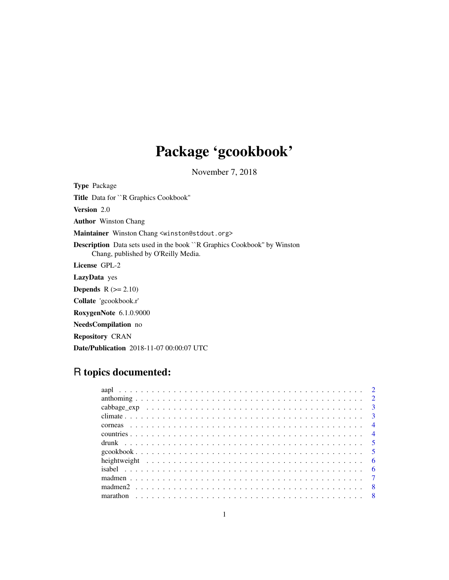# Package 'gcookbook'

November 7, 2018

<span id="page-0-0"></span>Type Package Title Data for ``R Graphics Cookbook'' Version 2.0 Author Winston Chang Maintainer Winston Chang <winston@stdout.org> Description Data sets used in the book ``R Graphics Cookbook'' by Winston Chang, published by O'Reilly Media. License GPL-2 LazyData yes **Depends**  $R (= 2.10)$ Collate 'gcookbook.r' RoxygenNote 6.1.0.9000 NeedsCompilation no Repository CRAN Date/Publication 2018-11-07 00:00:07 UTC

# R topics documented: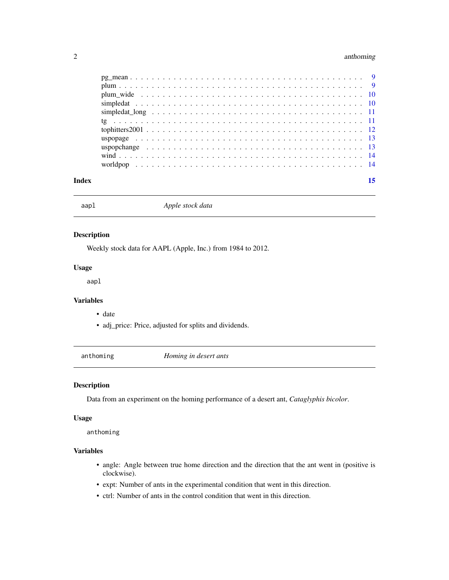# <span id="page-1-0"></span>2 anthoming

| Index |  |  |  |  | 15 |
|-------|--|--|--|--|----|
|       |  |  |  |  |    |
|       |  |  |  |  |    |
|       |  |  |  |  |    |
|       |  |  |  |  |    |
|       |  |  |  |  |    |
|       |  |  |  |  |    |
|       |  |  |  |  |    |
|       |  |  |  |  |    |
|       |  |  |  |  |    |
|       |  |  |  |  |    |
|       |  |  |  |  |    |

aapl *Apple stock data*

# Description

Weekly stock data for AAPL (Apple, Inc.) from 1984 to 2012.

#### Usage

aapl

#### Variables

- date
- adj\_price: Price, adjusted for splits and dividends.

anthoming *Homing in desert ants*

# Description

Data from an experiment on the homing performance of a desert ant, *Cataglyphis bicolor*.

# Usage

anthoming

# Variables

- angle: Angle between true home direction and the direction that the ant went in (positive is clockwise).
- expt: Number of ants in the experimental condition that went in this direction.
- ctrl: Number of ants in the control condition that went in this direction.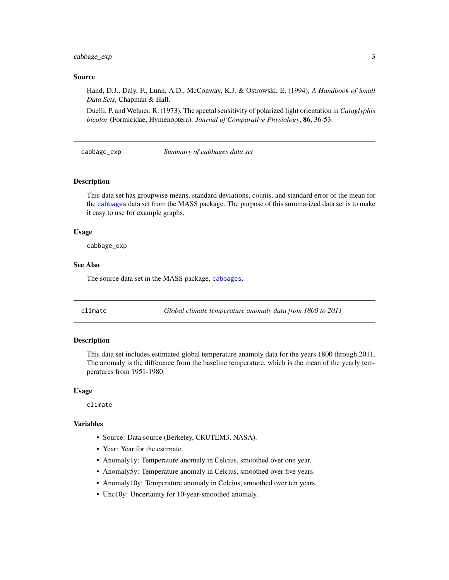<span id="page-2-0"></span>cabbage\_exp 3

#### Source

Hand, D.J., Daly, F., Lunn, A.D., McConway, K.J. & Ostrowski, E. (1994), *A Handbook of Small Data Sets*, Chapman & Hall.

Duelli, P. and Wehner, R. (1973), The spectal sensitivity of polarized light orientation in *Cataglyphis bicolor* (Formicidae, Hymenoptera). *Journal of Comparative Physiology*, 86, 36-53.

cabbage\_exp *Summary of cabbages data set*

#### Description

This data set has groupwise means, standard deviations, counts, and standard error of the mean for the [cabbages](#page-0-0) data set from the MASS package. The purpose of this summarized data set is to make it easy to use for example graphs.

#### Usage

cabbage\_exp

# See Also

The source data set in the MASS package, [cabbages](#page-0-0).

climate *Global climate temperature anomaly data from 1800 to 2011*

#### Description

This data set includes estimated global temperature anamoly data for the years 1800 through 2011. The anomaly is the difference from the baseline temperature, which is the mean of the yearly temperatures from 1951-1980.

#### Usage

climate

## Variables

- Source: Data source (Berkeley, CRUTEM3, NASA).
- Year: Year for the estimate.
- Anomaly1y: Temperature anomaly in Celcius, smoothed over one year.
- Anomaly5y: Temperature anomaly in Celcius, smoothed over five years.
- Anomaly10y: Temperature anomaly in Celcius, smoothed over ten years.
- Unc10y: Uncertainty for 10-year-smoothed anomaly.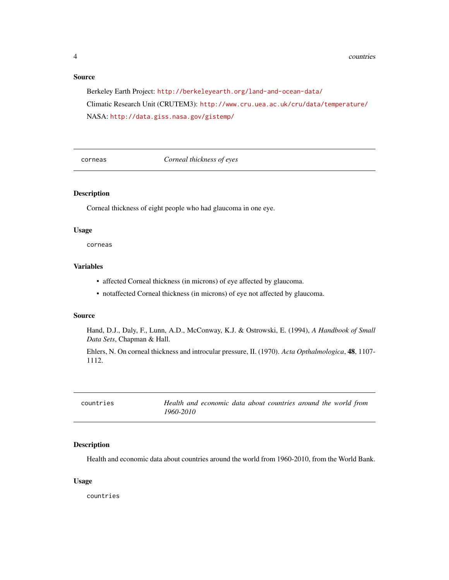#### <span id="page-3-0"></span>Source

Berkeley Earth Project: <http://berkeleyearth.org/land-and-ocean-data/> Climatic Research Unit (CRUTEM3): <http://www.cru.uea.ac.uk/cru/data/temperature/> NASA: <http://data.giss.nasa.gov/gistemp/>

corneas *Corneal thickness of eyes*

#### Description

Corneal thickness of eight people who had glaucoma in one eye.

#### Usage

corneas

#### Variables

- affected Corneal thickness (in microns) of eye affected by glaucoma.
- notaffected Corneal thickness (in microns) of eye not affected by glaucoma.

#### Source

Hand, D.J., Daly, F., Lunn, A.D., McConway, K.J. & Ostrowski, E. (1994), *A Handbook of Small Data Sets*, Chapman & Hall.

Ehlers, N. On corneal thickness and introcular pressure, II. (1970). *Acta Opthalmologica*, 48, 1107- 1112.

| countries | Health and economic data about countries around the world from |
|-----------|----------------------------------------------------------------|
|           | 1960-2010                                                      |

#### Description

Health and economic data about countries around the world from 1960-2010, from the World Bank.

#### Usage

countries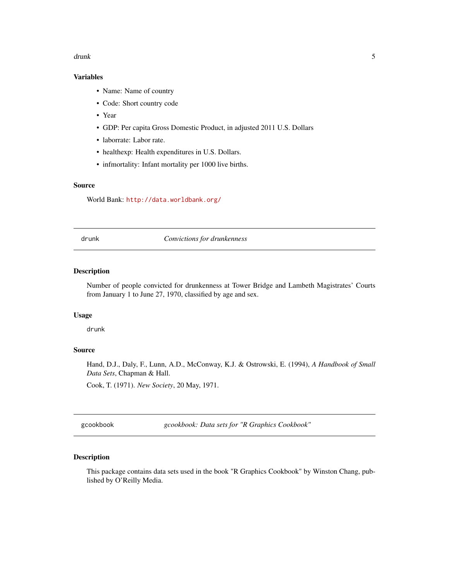#### <span id="page-4-0"></span>drunk 5

# Variables

- Name: Name of country
- Code: Short country code
- Year
- GDP: Per capita Gross Domestic Product, in adjusted 2011 U.S. Dollars
- laborrate: Labor rate.
- healthexp: Health expenditures in U.S. Dollars.
- infmortality: Infant mortality per 1000 live births.

#### Source

World Bank: <http://data.worldbank.org/>

drunk *Convictions for drunkenness*

#### Description

Number of people convicted for drunkenness at Tower Bridge and Lambeth Magistrates' Courts from January 1 to June 27, 1970, classified by age and sex.

#### Usage

drunk

# Source

Hand, D.J., Daly, F., Lunn, A.D., McConway, K.J. & Ostrowski, E. (1994), *A Handbook of Small Data Sets*, Chapman & Hall.

Cook, T. (1971). *New Society*, 20 May, 1971.

gcookbook *gcookbook: Data sets for "R Graphics Cookbook"*

# Description

This package contains data sets used in the book "R Graphics Cookbook" by Winston Chang, published by O'Reilly Media.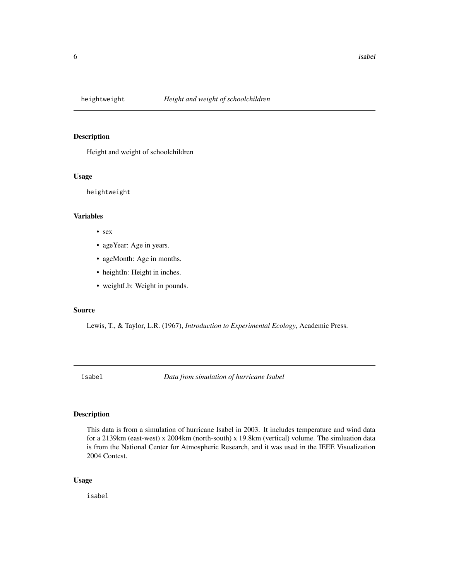<span id="page-5-0"></span>

Height and weight of schoolchildren

#### Usage

heightweight

#### Variables

- sex
- ageYear: Age in years.
- ageMonth: Age in months.
- heightIn: Height in inches.
- weightLb: Weight in pounds.

#### Source

Lewis, T., & Taylor, L.R. (1967), *Introduction to Experimental Ecology*, Academic Press.

isabel *Data from simulation of hurricane Isabel*

#### Description

This data is from a simulation of hurricane Isabel in 2003. It includes temperature and wind data for a 2139km (east-west) x 2004km (north-south) x 19.8km (vertical) volume. The simluation data is from the National Center for Atmospheric Research, and it was used in the IEEE Visualization 2004 Contest.

#### Usage

isabel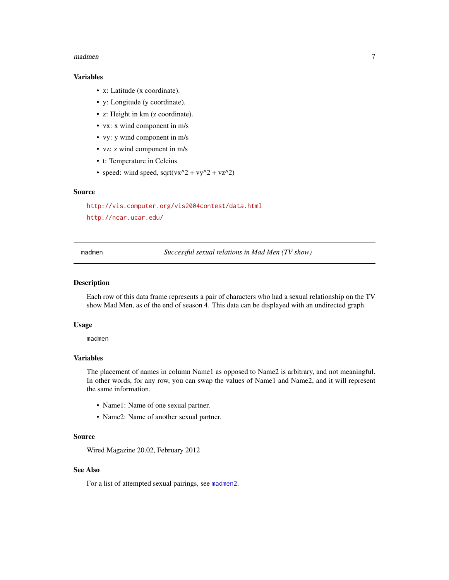#### <span id="page-6-0"></span>madmen 7 and 2008 and 2008 and 2008 and 2008 and 2008 and 2008 and 2008 and 2008 and 2008 and 2008 and 2008 and 2008 and 2008 and 2008 and 2008 and 2008 and 2008 and 2008 and 2008 and 2008 and 2008 and 2008 and 2008 and 20

# Variables

- x: Latitude (x coordinate).
- y: Longitude (y coordinate).
- z: Height in km (z coordinate).
- vx: x wind component in m/s
- vy: y wind component in m/s
- vz: z wind component in m/s
- t: Temperature in Celcius
- speed: wind speed, sqrt(vx^2 + vy^2 + vz^2)

#### Source

<http://vis.computer.org/vis2004contest/data.html> <http://ncar.ucar.edu/>

<span id="page-6-1"></span>

madmen *Successful sexual relations in Mad Men (TV show)*

#### Description

Each row of this data frame represents a pair of characters who had a sexual relationship on the TV show Mad Men, as of the end of season 4. This data can be displayed with an undirected graph.

#### Usage

madmen

#### Variables

The placement of names in column Name1 as opposed to Name2 is arbitrary, and not meaningful. In other words, for any row, you can swap the values of Name1 and Name2, and it will represent the same information.

- Name1: Name of one sexual partner.
- Name2: Name of another sexual partner.

#### Source

Wired Magazine 20.02, February 2012

#### See Also

For a list of attempted sexual pairings, see [madmen2](#page-7-1).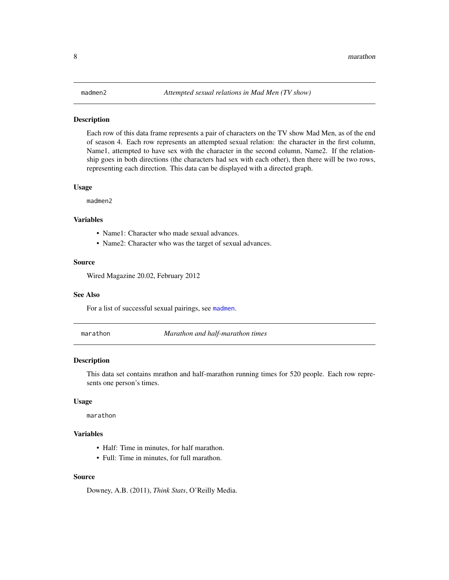<span id="page-7-1"></span><span id="page-7-0"></span>Each row of this data frame represents a pair of characters on the TV show Mad Men, as of the end of season 4. Each row represents an attempted sexual relation: the character in the first column, Name1, attempted to have sex with the character in the second column, Name2. If the relationship goes in both directions (the characters had sex with each other), then there will be two rows, representing each direction. This data can be displayed with a directed graph.

#### Usage

madmen2

## Variables

- Name1: Character who made sexual advances.
- Name2: Character who was the target of sexual advances.

#### Source

Wired Magazine 20.02, February 2012

#### See Also

For a list of successful sexual pairings, see [madmen](#page-6-1).

marathon *Marathon and half-marathon times*

#### Description

This data set contains mrathon and half-marathon running times for 520 people. Each row represents one person's times.

#### Usage

marathon

## Variables

- Half: Time in minutes, for half marathon.
- Full: Time in minutes, for full marathon.

#### Source

Downey, A.B. (2011), *Think Stats*, O'Reilly Media.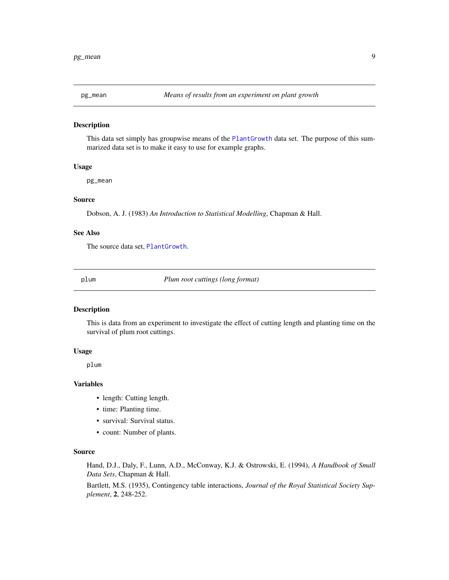<span id="page-8-0"></span>

This data set simply has groupwise means of the [PlantGrowth](#page-0-0) data set. The purpose of this summarized data set is to make it easy to use for example graphs.

#### Usage

pg\_mean

#### Source

Dobson, A. J. (1983) *An Introduction to Statistical Modelling*, Chapman & Hall.

#### See Also

The source data set, [PlantGrowth](#page-0-0).

<span id="page-8-1"></span>plum *Plum root cuttings (long format)*

# Description

This is data from an experiment to investigate the effect of cutting length and planting time on the survival of plum root cuttings.

#### Usage

plum

#### Variables

- length: Cutting length.
- time: Planting time.
- survival: Survival status.
- count: Number of plants.

#### Source

Hand, D.J., Daly, F., Lunn, A.D., McConway, K.J. & Ostrowski, E. (1994), *A Handbook of Small Data Sets*, Chapman & Hall.

Bartlett, M.S. (1935), Contingency table interactions, *Journal of the Royal Statistical Society Supplement*, 2, 248-252.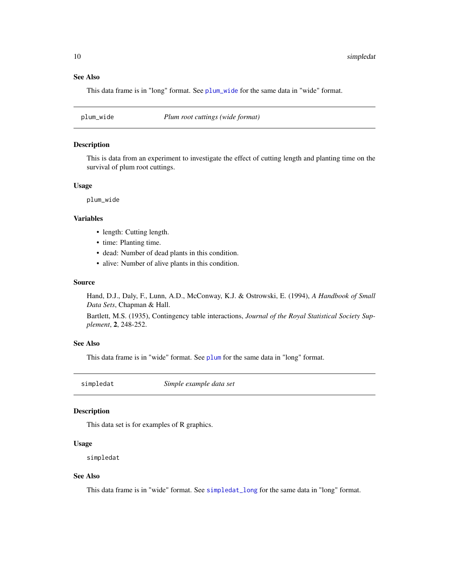# See Also

This data frame is in "long" format. See [plum\\_wide](#page-9-1) for the same data in "wide" format.

<span id="page-9-1"></span>plum\_wide *Plum root cuttings (wide format)*

#### Description

This is data from an experiment to investigate the effect of cutting length and planting time on the survival of plum root cuttings.

#### Usage

plum\_wide

#### Variables

- length: Cutting length.
- time: Planting time.
- dead: Number of dead plants in this condition.
- alive: Number of alive plants in this condition.

# Source

Hand, D.J., Daly, F., Lunn, A.D., McConway, K.J. & Ostrowski, E. (1994), *A Handbook of Small Data Sets*, Chapman & Hall.

Bartlett, M.S. (1935), Contingency table interactions, *Journal of the Royal Statistical Society Supplement*, 2, 248-252.

#### See Also

This data frame is in "wide" format. See [plum](#page-8-1) for the same data in "long" format.

<span id="page-9-2"></span>simpledat *Simple example data set*

#### Description

This data set is for examples of R graphics.

#### Usage

simpledat

#### See Also

This data frame is in "wide" format. See [simpledat\\_long](#page-10-1) for the same data in "long" format.

<span id="page-9-0"></span>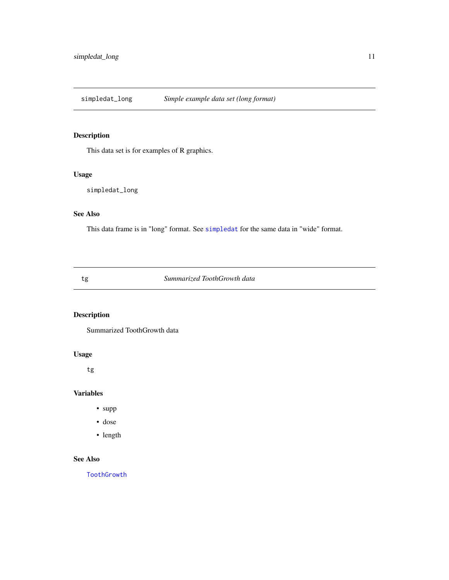<span id="page-10-1"></span><span id="page-10-0"></span>simpledat\_long *Simple example data set (long format)*

# Description

This data set is for examples of R graphics.

# Usage

simpledat\_long

# See Also

This data frame is in "long" format. See [simpledat](#page-9-2) for the same data in "wide" format.

tg *Summarized ToothGrowth data*

# Description

Summarized ToothGrowth data

# Usage

tg

# Variables

- supp
- dose
- length

# See Also

[ToothGrowth](#page-0-0)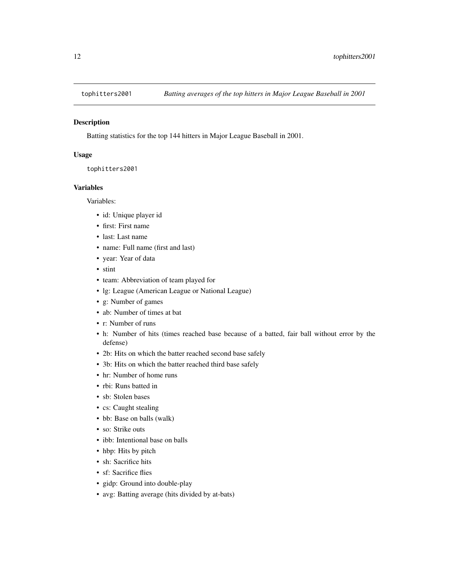<span id="page-11-0"></span>

Batting statistics for the top 144 hitters in Major League Baseball in 2001.

#### Usage

tophitters2001

#### Variables

Variables:

- id: Unique player id
- first: First name
- last: Last name
- name: Full name (first and last)
- year: Year of data
- stint
- team: Abbreviation of team played for
- lg: League (American League or National League)
- g: Number of games
- ab: Number of times at bat
- r: Number of runs
- h: Number of hits (times reached base because of a batted, fair ball without error by the defense)
- 2b: Hits on which the batter reached second base safely
- 3b: Hits on which the batter reached third base safely
- hr: Number of home runs
- rbi: Runs batted in
- sb: Stolen bases
- cs: Caught stealing
- bb: Base on balls (walk)
- so: Strike outs
- ibb: Intentional base on balls
- hbp: Hits by pitch
- sh: Sacrifice hits
- sf: Sacrifice flies
- gidp: Ground into double-play
- avg: Batting average (hits divided by at-bats)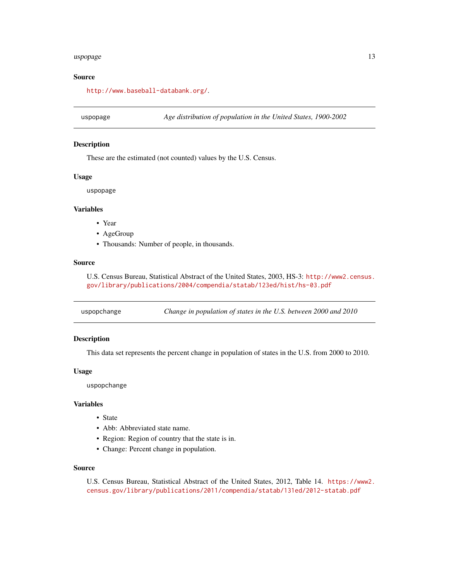#### <span id="page-12-0"></span>uspopage and the state of the state of the state of the state of the state of the state of the state of the state of the state of the state of the state of the state of the state of the state of the state of the state of t

# Source

<http://www.baseball-databank.org/>.

uspopage *Age distribution of population in the United States, 1900-2002*

## Description

These are the estimated (not counted) values by the U.S. Census.

# Usage

uspopage

# Variables

- Year
- AgeGroup
- Thousands: Number of people, in thousands.

#### Source

U.S. Census Bureau, Statistical Abstract of the United States, 2003, HS-3: [http://www2.census.](http://www2.census.gov/library/publications/2004/compendia/statab/123ed/hist/hs-03.pdf) [gov/library/publications/2004/compendia/statab/123ed/hist/hs-03.pdf](http://www2.census.gov/library/publications/2004/compendia/statab/123ed/hist/hs-03.pdf)

uspopchange *Change in population of states in the U.S. between 2000 and 2010*

# Description

This data set represents the percent change in population of states in the U.S. from 2000 to 2010.

#### Usage

uspopchange

#### Variables

- State
- Abb: Abbreviated state name.
- Region: Region of country that the state is in.
- Change: Percent change in population.

#### Source

U.S. Census Bureau, Statistical Abstract of the United States, 2012, Table 14. [https://www2.](https://www2.census.gov/library/publications/2011/compendia/statab/131ed/2012-statab.pdf) [census.gov/library/publications/2011/compendia/statab/131ed/2012-statab.pdf](https://www2.census.gov/library/publications/2011/compendia/statab/131ed/2012-statab.pdf)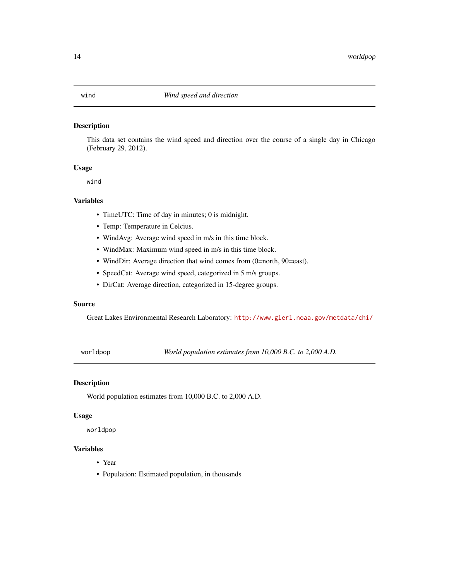<span id="page-13-0"></span>This data set contains the wind speed and direction over the course of a single day in Chicago (February 29, 2012).

# Usage

wind

## Variables

- TimeUTC: Time of day in minutes; 0 is midnight.
- Temp: Temperature in Celcius.
- WindAvg: Average wind speed in m/s in this time block.
- WindMax: Maximum wind speed in m/s in this time block.
- WindDir: Average direction that wind comes from (0=north, 90=east).
- SpeedCat: Average wind speed, categorized in 5 m/s groups.
- DirCat: Average direction, categorized in 15-degree groups.

#### Source

Great Lakes Environmental Research Laboratory: <http://www.glerl.noaa.gov/metdata/chi/>

worldpop *World population estimates from 10,000 B.C. to 2,000 A.D.*

#### Description

World population estimates from 10,000 B.C. to 2,000 A.D.

#### Usage

worldpop

#### Variables

- Year
- Population: Estimated population, in thousands